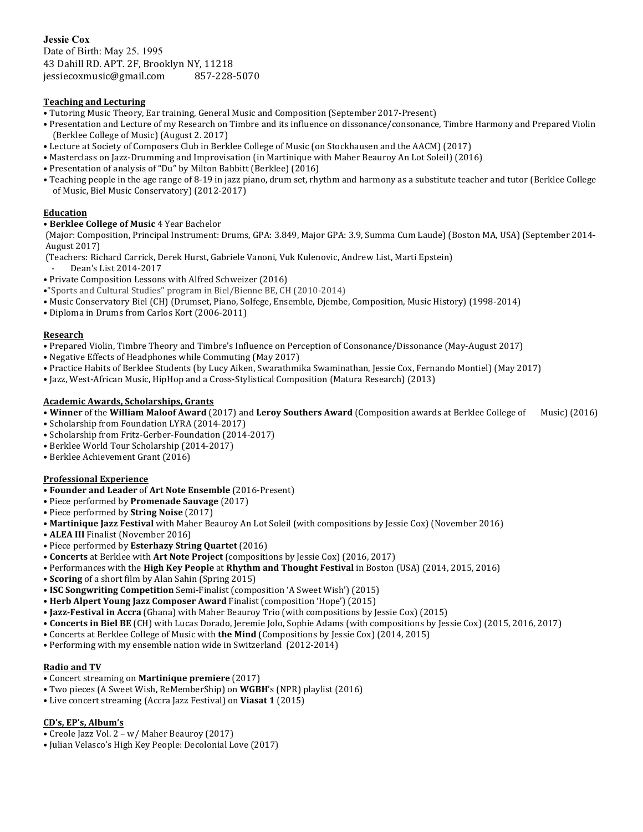**Jessie Cox** Date of Birth: May 25. 1995 43 Dahill RD. APT. 2F, Brooklyn NY, 11218 jessiecoxmusic@gmail.com 857-228-5070

# **Teaching and Lecturing**

• Tutoring Music Theory, Ear training, General Music and Composition (September 2017-Present)

- Presentation and Lecture of my Research on Timbre and its influence on dissonance/consonance, Timbre Harmony and Prepared Violin (Berklee College of Music) (August 2. 2017)
- Lecture at Society of Composers Club in Berklee College of Music (on Stockhausen and the AACM) (2017)
- Masterclass on Jazz-Drumming and Improvisation (in Martinique with Maher Beauroy An Lot Soleil) (2016)
- Presentation of analysis of "Du" by Milton Babbitt (Berklee) (2016)
- Teaching people in the age range of 8-19 in jazz piano, drum set, rhythm and harmony as a substitute teacher and tutor (Berklee College of Music, Biel Music Conservatory) (2012-2017)

### **Education**

## • **Berklee College of Music** 4 Year Bachelor

(Major: Composition, Principal Instrument: Drums, GPA: 3.849, Major GPA: 3.9, Summa Cum Laude) (Boston MA, USA) (September 2014-August 2017) 

- (Teachers: Richard Carrick, Derek Hurst, Gabriele Vanoni, Vuk Kulenovic, Andrew List, Marti Epstein)
- Dean's List 2014-2017
- Private Composition Lessons with Alfred Schweizer (2016)
- •"Sports and Cultural Studies" program in Biel/Bienne BE, CH (2010-2014)
- Music Conservatory Biel (CH) (Drumset, Piano, Solfege, Ensemble, Djembe, Composition, Music History) (1998-2014)
- Diploma in Drums from Carlos Kort (2006-2011)

#### **Research**

- Prepared Violin, Timbre Theory and Timbre's Influence on Perception of Consonance/Dissonance (May-August 2017)
- Negative Effects of Headphones while Commuting (May 2017)
- Practice Habits of Berklee Students (by Lucy Aiken, Swarathmika Swaminathan, Jessie Cox, Fernando Montiel) (May 2017)
- Jazz, West-African Music, HipHop and a Cross-Stylistical Composition (Matura Research) (2013)

### **Academic Awards, Scholarships, Grants**

• Winner of the William Maloof Award (2017) and Leroy Southers Award (Composition awards at Berklee College of Music) (2016)

- Scholarship from Foundation LYRA (2014-2017)
- Scholarship from Fritz-Gerber-Foundation (2014-2017)
- Berklee World Tour Scholarship (2014-2017)
- Berklee Achievement Grant (2016)

### **Professional Experience**

- • **Founder and Leader** of **Art Note Ensemble** (2016-Present)
- Piece performed by **Promenade Sauvage** (2017)
- Piece performed by **String Noise** (2017)
- **Martinique Jazz Festival** with Maher Beauroy An Lot Soleil (with compositions by Jessie Cox) (November 2016)
- **ALEA III** Finalist (November 2016)
- Piece performed by **Esterhazy String Quartet** (2016)
- **Concerts** at Berklee with Art Note Project (compositions by Jessie Cox) (2016, 2017)
- Performances with the **High Key People** at **Rhythm and Thought Festival** in Boston (USA) (2014, 2015, 2016)
- **Scoring** of a short film by Alan Sahin (Spring 2015)
- ISC Songwriting Competition Semi-Finalist (composition 'A Sweet Wish') (2015)
- Herb Alpert Young Jazz Composer Award Finalist (composition 'Hope') (2015)
- Jazz-Festival in Accra (Ghana) with Maher Beauroy Trio (with compositions by Jessie Cox) (2015)
- Concerts in Biel BE (CH) with Lucas Dorado, Jeremie Jolo, Sophie Adams (with compositions by Jessie Cox) (2015, 2016, 2017)
- Concerts at Berklee College of Music with **the Mind** (Compositions by Jessie Cox) (2014, 2015)
- Performing with my ensemble nation wide in Switzerland (2012-2014)

### **Radio and TV**

- Concert streaming on **Martinique premiere** (2017)
- Two pieces (A Sweet Wish, ReMemberShip) on **WGBH's** (NPR) playlist (2016)
- Live concert streaming (Accra Jazz Festival) on **Viasat 1** (2015)

### **CD's, EP's, Album's**

- Creole Jazz Vol. 2 w/ Maher Beauroy (2017)
- Julian Velasco's High Key People: Decolonial Love (2017)